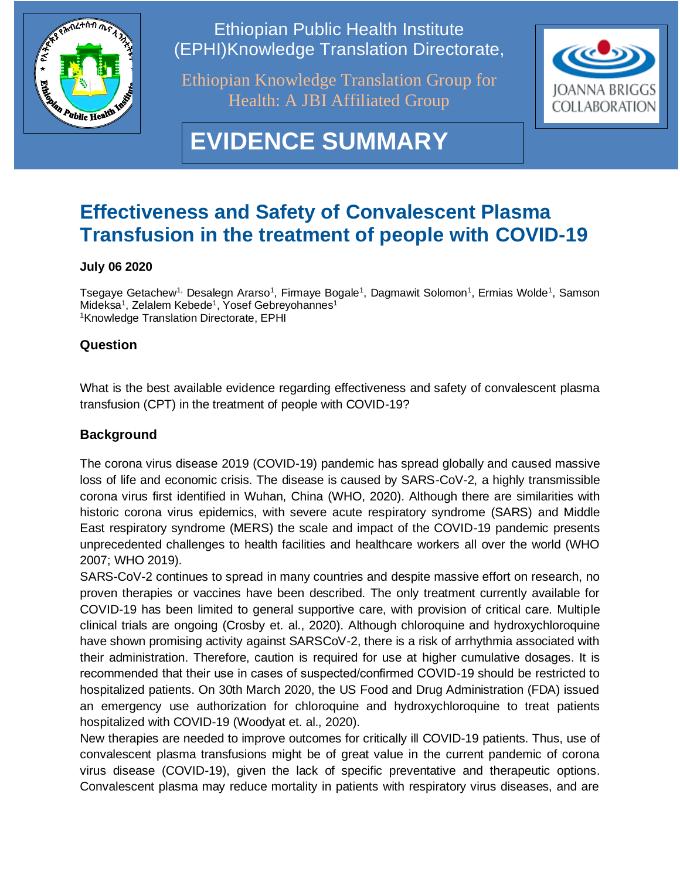

Ethiopian Public Health Institute (EPHI)Knowledge Translation Directorate,

Ethiopian Knowledge Translation Group for Health: A JBI Affiliated Group



# **EVIDENCE SUMMARY**

# **Effectiveness and Safety of Convalescent Plasma Transfusion in the treatment of people with COVID-19**

#### **July 06 2020**

Tsegaye Getachew<sup>1,</sup> Desalegn Ararso<sup>1</sup>, Firmaye Bogale<sup>1</sup>, Dagmawit Solomon<sup>1</sup>, Ermias Wolde<sup>1</sup>, Samson Mideksa<sup>1</sup>, Zelalem Kebede<sup>1</sup>, Yosef Gebreyohannes<sup>1</sup> <sup>1</sup>Knowledge Translation Directorate, EPHI

### **Question**

What is the best available evidence regarding effectiveness and safety of convalescent plasma transfusion (CPT) in the treatment of people with COVID-19?

## **Background**

The corona virus disease 2019 (COVID-19) pandemic has spread globally and caused massive loss of life and economic crisis. The disease is caused by SARS-CoV-2, a highly transmissible corona virus first identified in Wuhan, China (WHO, 2020). Although there are similarities with historic corona virus epidemics, with severe acute respiratory syndrome (SARS) and Middle East respiratory syndrome (MERS) the scale and impact of the COVID-19 pandemic presents unprecedented challenges to health facilities and healthcare workers all over the world (WHO 2007; WHO 2019).

SARS-CoV-2 continues to spread in many countries and despite massive effort on research, no proven therapies or vaccines have been described. The only treatment currently available for COVID-19 has been limited to general supportive care, with provision of critical care. Multiple clinical trials are ongoing (Crosby et. al., 2020). Although chloroquine and hydroxychloroquine have shown promising activity against SARSCoV-2, there is a risk of arrhythmia associated with their administration. Therefore, caution is required for use at higher cumulative dosages. It is recommended that their use in cases of suspected/confirmed COVID-19 should be restricted to hospitalized patients. On 30th March 2020, the US Food and Drug Administration (FDA) issued an emergency use authorization for chloroquine and hydroxychloroquine to treat patients hospitalized with COVID-19 (Woodyat et. al., 2020).

New therapies are needed to improve outcomes for critically ill COVID-19 patients. Thus, use of convalescent plasma transfusions might be of great value in the current pandemic of corona virus disease (COVID-19), given the lack of specific preventative and therapeutic options. Convalescent plasma may reduce mortality in patients with respiratory virus diseases, and are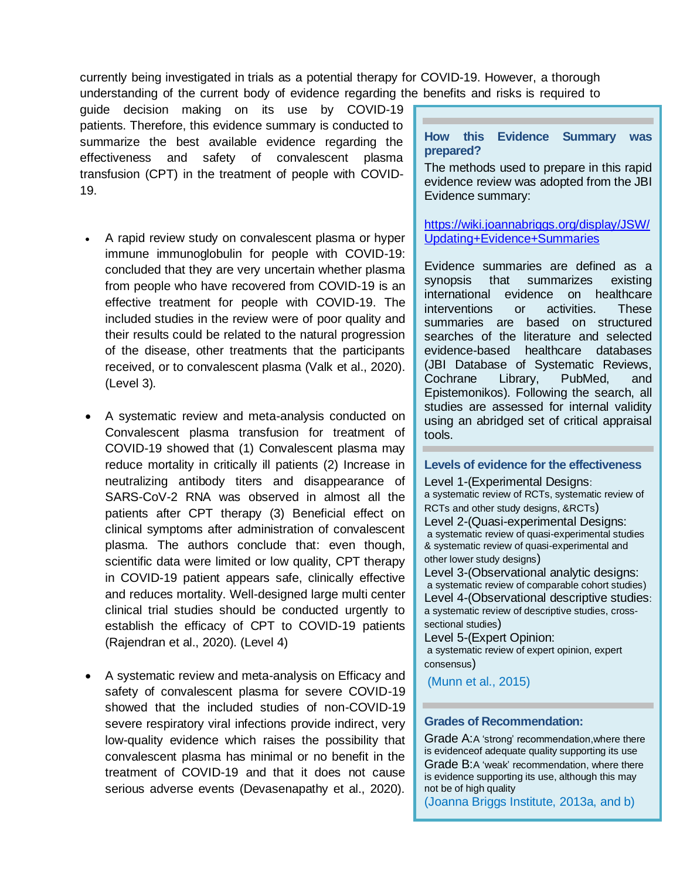currently being investigated in trials as a potential therapy for COVID-19. However, a thorough understanding of the current body of evidence regarding the benefits and risks is required to

guide decision making on its use by COVID-19 patients. Therefore, this evidence summary is conducted to summarize the best available evidence regarding the effectiveness and safety of convalescent plasma transfusion (CPT) in the treatment of people with COVID-19.

- A rapid review study on convalescent plasma or hyper immune immunoglobulin for people with COVID-19: concluded that they are very uncertain whether plasma from people who have recovered from COVID-19 is an effective treatment for people with COVID-19. The included studies in the review were of poor quality and their results could be related to the natural progression of the disease, other treatments that the participants received, or to convalescent plasma (Valk et al., 2020). (Level 3).
- A systematic review and meta-analysis conducted on Convalescent plasma transfusion for treatment of COVID-19 showed that (1) Convalescent plasma may reduce mortality in critically ill patients (2) Increase in neutralizing antibody titers and disappearance of SARS-CoV-2 RNA was observed in almost all the patients after CPT therapy (3) Beneficial effect on clinical symptoms after administration of convalescent plasma. The authors conclude that: even though, scientific data were limited or low quality, CPT therapy in COVID-19 patient appears safe, clinically effective and reduces mortality. Well-designed large multi center clinical trial studies should be conducted urgently to establish the efficacy of CPT to COVID-19 patients (Rajendran et al., 2020). (Level 4)
- A systematic review and meta-analysis on Efficacy and safety of convalescent plasma for severe COVID-19 showed that the included studies of non-COVID-19 severe respiratory viral infections provide indirect, very low-quality evidence which raises the possibility that convalescent plasma has minimal or no benefit in the treatment of COVID-19 and that it does not cause serious adverse events (Devasenapathy et al., 2020).

#### **How this Evidence Summary was prepared?**

The methods used to prepare in this rapid evidence review was adopted from the JBI Evidence summary:

#### [https://wiki.joannabriggs.org/display/JSW/](https://wiki.joannabriggs.org/display/JSW/Updating+Evidence+Summaries) [Updating+Evidence+Summaries](https://wiki.joannabriggs.org/display/JSW/Updating+Evidence+Summaries)

Evidence summaries are defined as a synopsis that summarizes existing international evidence on healthcare interventions or activities. These summaries are based on structured searches of the literature and selected evidence-based healthcare databases (JBI Database of Systematic Reviews, Cochrane Library, PubMed, and Epistemonikos). Following the search, all studies are assessed for internal validity using an abridged set of critical appraisal tools.

#### **Levels of evidence for the effectiveness**

Level 1-(Experimental Designs: a systematic review of RCTs, systematic review of RCTs and other study designs, &RCTs) Level 2-(Quasi-experimental Designs: a systematic review of quasi-experimental studies & systematic review of quasi-experimental and other lower study designs)

Level 3-(Observational analytic designs: a systematic review of comparable cohort studies) Level 4-(Observational descriptive studies: a systematic review of descriptive studies, crosssectional studies)

Level 5-(Expert Opinion: a systematic review of expert opinion, expert consensus)

(Munn et al., 2015)

#### **Grades of Recommendation:**

Grade A:A 'strong' recommendation,where there is evidenceof adequate quality supporting its use Grade B:A 'weak' recommendation, where there is evidence supporting its use, although this may not be of high quality

(Joanna Briggs Institute, 2013a, and b)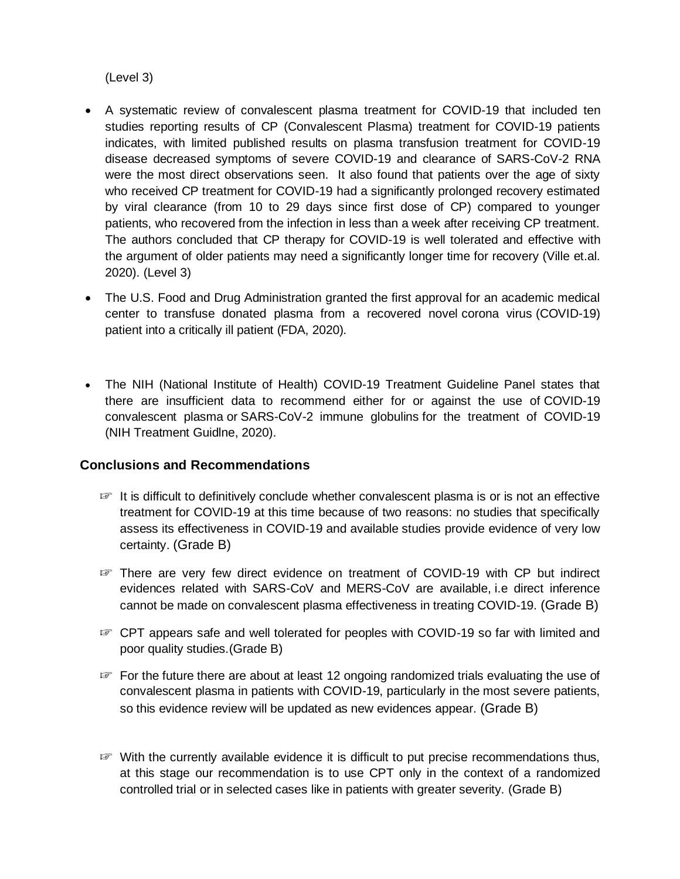(Level 3)

- A systematic review of convalescent plasma treatment for COVID-19 that included ten studies reporting results of CP (Convalescent Plasma) treatment for COVID-19 patients indicates, with limited published results on plasma transfusion treatment for COVID-19 disease decreased symptoms of severe COVID-19 and clearance of SARS-CoV-2 RNA were the most direct observations seen. It also found that patients over the age of sixty who received CP treatment for COVID-19 had a significantly prolonged recovery estimated by viral clearance (from 10 to 29 days since first dose of CP) compared to younger patients, who recovered from the infection in less than a week after receiving CP treatment. The authors concluded that CP therapy for COVID-19 is well tolerated and effective with the argument of older patients may need a significantly longer time for recovery (Ville et.al. 2020). (Level 3)
- The U.S. Food and Drug Administration granted the first approval for an academic medical center to transfuse donated plasma from a recovered novel [corona](https://www.drugs.com/condition/covid-19.html) virus (COVID-19) patient into a critically ill patient (FDA, 2020).
- The NIH (National Institute of Health) COVID-19 Treatment Guideline Panel states that there are insufficient data to recommend either for or against the use of COVID-19 convalescent plasma or SARS-CoV-2 immune globulins for the treatment of COVID-19 (NIH Treatment Guidlne, 2020).

#### **Conclusions and Recommendations**

- ☞ It is difficult to definitively conclude whether convalescent plasma is or is not an effective treatment for COVID-19 at this time because of two reasons: no studies that specifically assess its effectiveness in COVID-19 and available studies provide evidence of very low certainty. (Grade B)
- ☞ There are very few direct evidence on treatment of COVID-19 with CP but indirect evidences related with SARS-CoV and MERS-CoV are available, i.e direct inference cannot be made on convalescent plasma effectiveness in treating COVID-19. (Grade B)
- ☞ CPT appears safe and well tolerated for peoples with COVID-19 so far with limited and poor quality studies.(Grade B)
- ☞ For the future there are about at least 12 ongoing randomized trials evaluating the use of convalescent plasma in patients with COVID-19, particularly in the most severe patients, so this evidence review will be updated as new evidences appear. (Grade B)
- ☞ With the currently available evidence it is difficult to put precise recommendations thus, at this stage our recommendation is to use CPT only in the context of a randomized controlled trial or in selected cases like in patients with greater severity. (Grade B)